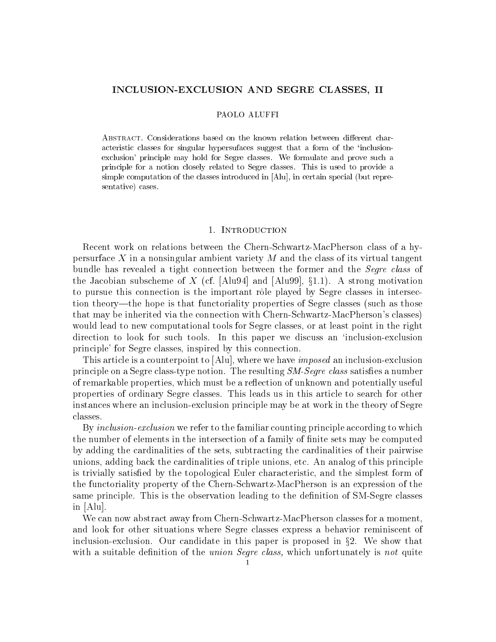# INCLUSION-EXCLUSION AND SEGRE CLASSES, II

### PAOLO ALUFFI

ABSTRACT. Considerations based on the known relation between different characteristic classes for singular hypersufaces suggest that a form of the 'inclusionexclusion' principle may hold for Segre classes. We formulate and prove such a principle for a notion closely related to Segre classes. This is used to provide a simple computation of the classes introduced in [Alu], in certain special (but representative) cases.

# 1. INTRODUCTION

Recent work on relations between the Chern-Schwartz-MacPherson class of a hypersurface X in a nonsingular ambient variety  $M$  and the class of its virtual tangent bundle has revealed a tight connection between the former and the *Segre class* of the Jacobian subscheme of X (cf. [Alu94] and [Alu99],  $\S1.1$ ). A strong motivation to pursue this connection is the important r^ole played by Segre classes in intersection theory—the hope is that functoriality properties of Segre classes (such as those that may be inherited via the connection with Chern-Schwartz-MacPherson's classes) would lead to new computational tools for Segre classes, or at least point in the right direction to look for such tools. In this paper we discuss an `inclusion-exclusion principle' for Segre classes, inspired by this connection.

This article is a counterpoint to [Alu], where we have *imposed* an inclusion-exclusion principle on a Segre class-type notion. The resulting  $SM\text{-}Segre \; class$  satisfies a number of remarkable properties, which must be a reflection of unknown and potentially useful properties of ordinary Segre classes. This leads us in this article to search for other instances where an inclusion-exclusion principle may be at work in the theory of Segre classes.

By *inclusion-exclusion* we refer to the familiar counting principle according to which the number of elements in the intersection of a family of finite sets may be computed by adding the cardinalities of the sets, subtracting the cardinalities of their pairwise unions, adding back the cardinalities of triple unions, etc. An analog of this principle is trivially satisfied by the topological Euler characteristic, and the simplest form of the functoriality property of the Chern-Schwartz-MacPherson is an expression of the same principle. This is the observation leading to the definition of SM-Segre classes in [Alu].

We can now abstract away from Chern-Schwartz-MacPherson classes for a moment, and look for other situations where Segre classes express a behavior reminiscent of inclusion-exclusion. Our candidate in this paper is proposed in  $\S2$ . We show that with a suitable definition of the *union Segre class*, which unfortunately is not quite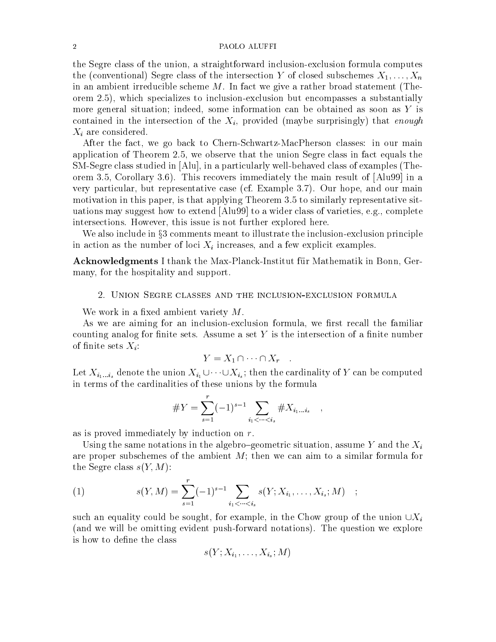### 2 PAOLO ALUFFI

the Segre class of the union, a straightforward inclusion-exclusion formula computes the (conventional) Segre class of the intersection Y of closed subschemes  $X_1,\ldots,X_n$ in an ambient irreducible scheme  $M$ . In fact we give a rather broad statement (Theorem 2.5), which specializes to inclusion-exclusion but encompasses a substantially more general situation; indeed, some information can be obtained as soon as Y is contained in the intersection of the  $X_i$ , provided (maybe surprisingly) that enough  $X_i$  are considered.

After the fact, we go back to Chern-Schwartz-MacPherson classes: in our main application of Theorem 2.5, we observe that the union Segre class in fact equals the SM-Segre class studied in [Alu], in a particularly well-behaved class of examples (Theorem 3.5, Corollary 3.6). This recovers immediately the main result of [Alu99] in a very particular, but representative case (cf. Example 3.7). Our hope, and our main motivation in this paper, is that applying Theorem 3.5 to similarly representative situations may suggest how to extend [Alu99] to a wider class of varieties, e.g., complete intersections. However, this issue is not further explored here.

We also include in §3 comments meant to illustrate the inclusion-exclusion principle in action as the number of loci  $X_i$  increases, and a few explicit examples.

Acknowledgments I thank the Max-Planck-Institut für Mathematik in Bonn, Germany, for the hospitality and support.

# 2. Union Segre classes and the inclusion-exclusion formula

We work in a fixed ambient variety  $M$ .

As we are aiming for an inclusion-exclusion formula, we first recall the familiar counting analog for finite sets. Assume a set  $Y$  is the intersection of a finite number of finite sets  $X_i$ :

$$
Y = X_1 \cap \cdots \cap X_r \quad .
$$

 $\text{Lov}(\mathbf{X}_l)_{i:ik}$  denote the different  $\mathbf{X}_l$   $\in$   $\mathbf{X}_l$   $\in$   $\mathbf{X}_l$  and  $\mathbf{X}_l$  are computed to  $\mathbf{X}_l$ in terms of the cardinalities of these unions by the formula

#Y = Xr (1)s1 <sup>X</sup> i1<<is #Xi1:::is

as is proved immediately by induction on r.

Using the same notations in the algebro-geometric situation, assume Y and the  $X_i$ are proper subschemes of the ambient  $M$ ; then we can aim to a similar formula for the Segre class  $s(Y, M)$ :

(1) 
$$
s(Y, M) = \sum_{s=1}^{r} (-1)^{s-1} \sum_{i_1 < \dots < i_s} s(Y; X_{i_1}, \dots, X_{i_s}; M) ;
$$

such an equality could be sought, for example, in the Chow group of the union  $\cup X_i$ (and we will be omitting evident push-forward notations). The question we explore is how to define the class

$$
s(Y;X_{i_1},\ldots,X_{i_s};M)
$$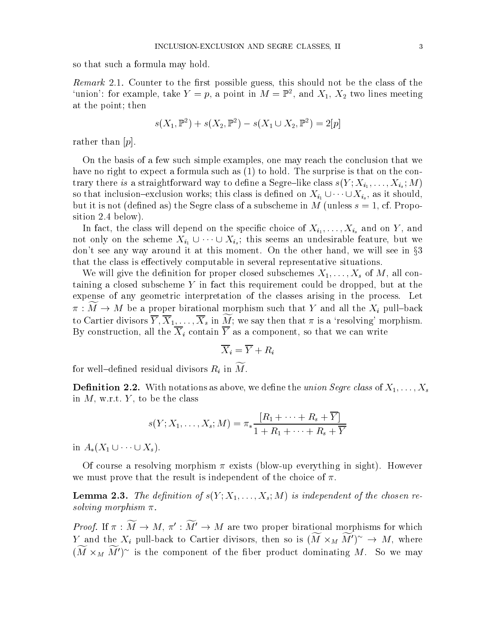so that such a formula may hold.

Remark 2.1. Counter to the rst possible guess, this should not be the class of the 'union': for example, take  $Y = p$ , a point in  $M = \mathbb{P}^2$ , and  $X_1, X_2$  two lines meeting at the point; then

$$
s(X_1, \mathbb{P}^2) + s(X_2, \mathbb{P}^2) - s(X_1 \cup X_2, \mathbb{P}^2) = 2[p]
$$

rather than  $[p]$ .

On the basis of a few such simple examples, one may reach the conclusion that we have no right to expect a formula such as  $(1)$  to hold. The surprise is that on the con- $\sum_{i=1}^n$  there is a straightforward way to define a Segre $\sum_{i=1}^n$  into stable s(x ;  $\sum_{i=1}^n$  ;  $\sum_{i=1}^n$  ;  $\sum_{i=1}^n$ so that is described to the inclusion works; there is defined on  $\alpha$  is defined on  $\alpha_{1}$  ,  $\alpha$  ,  $\alpha$  ,  $\alpha_{2}$  ,  $\alpha_{3}$  ,  $\alpha_{4}$  ,  $\alpha_{5}$  ,  $\alpha_{6}$  ,  $\alpha_{7}$  ,  $\alpha_{8}$  ,  $\alpha_{9}$  ,  $\alpha_{10}$  ,  $\alpha_{11}$ but it is not (defined as) the Segre class of a subscheme in M (unless  $s = 1$ , cf. Proposition 2.4 below).

In fact, the class will depend on the species will depend on  $\iota_1$  and  $\iota_2$  and  $\iota_3$ not omy on the sending  $\mathcal{I}_{i_1}$   $\circ$   $\qquad \circ$   $\mathcal{I}_{i_s}$ , this seems an undesirable feature, but we don't see any way around it at this moment. On the other hand, we will see in  $\S 3$ that the class is effectively computable in several representative situations.

We will give the definition for proper closed subschemes  $X_1, \ldots, X_s$  of M, all containing a closed subscheme Y in fact this requirement could be dropped, but at the expense of any geometric interpretation of the classes arising in the process. Let  $\pi : M \to M$  be a proper birational morphism such that Y and all the  $X_i$  pull-back to Cartier divisors  $\overline{Y}, \overline{X}_1,\ldots,\overline{X}_s$  in  $\widetilde{M}$ ; we say then that  $\pi$  is a 'resolving' morphism. By construction, all the  $\overline{X}_i$  contain  $\overline{Y}$  as a component, so that we can write

$$
\overline{X}_i = \overline{Y} + R_i
$$

for well-defined residual divisors  $R_i$  in  $\widetilde{M}$ .

**Definition 2.2.** With notations as above, we define the union Segre class of  $X_1, \ldots, X_s$ in  $M$ , w.r.t.  $Y$ , to be the class

$$
s(Y; X_1, \ldots, X_s; M) = \pi_* \frac{[R_1 + \cdots + R_s + \overline{Y}]}{1 + R_1 + \cdots + R_s + \overline{Y}}
$$

in  $A_*(X_1 \cup \cdots \cup X_s)$ .

Of course a resolving morphism  $\pi$  exists (blow-up everything in sight). However we must prove that the result is independent of the choice of  $\pi$ .

**Lemma 2.3.** The definition of  $s(Y; X_1, \ldots, X_s; M)$  is independent of the chosen resolving most province in a

*Proof.* If  $\pi : M \to M$ ,  $\pi : M \to M$  are two proper birational morphisms for which r and the  $A_i$  pull-back to Cartier divisors, then so is  $(M \times_M M) \rightarrow M$ , where  $\left(M_{1} \times_{M} M_{1}\right)$  is the component of the fiber product dominating  $M$ . So we may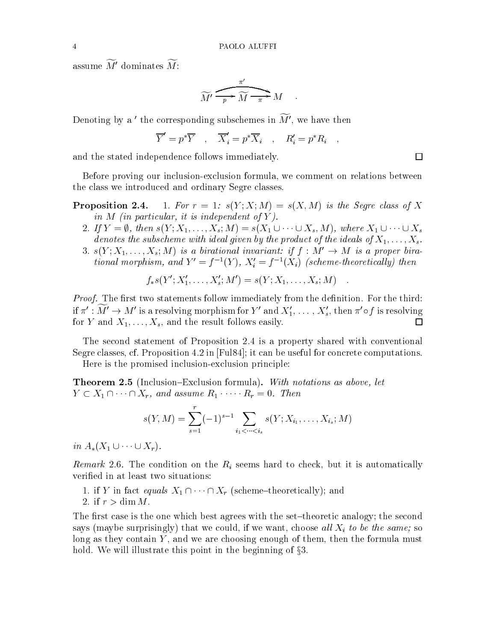assume  $\widetilde{M}'$  dominates  $\widetilde{M}$ :

$$
\widetilde{M'} \xrightarrow{\pi'} \widetilde{M} \xrightarrow{\pi'} M \qquad .
$$

Denoting by a ' the corresponding subschemes in  $\widetilde{M}'$ , we have then

$$
\overline{Y}' = p^* \overline{Y} \quad , \quad \overline{X}'_i = p^* \overline{X}_i \quad , \quad R'_i = p^* R_i \quad ,
$$

and the stated independence follows immediately.

Before proving our inclusion-exclusion formula, we comment on relations between the class we introduced and ordinary Segre classes.

- **Proposition 2.4.** 1. For  $r = 1$ :  $s(Y; X; M) = s(X, M)$  is the Segre class of X in M (in particular, it is independent of Y ).
	- 2. If  $Y = \emptyset$ , then  $s(Y; X_1, \ldots, X_s; M) = s(X_1 \cup \cdots \cup X_s, M)$ , where  $X_1 \cup \cdots \cup X_s$ denotes the subscheme with ideal given by the product of the ideals of  $X_1,\ldots,X_s$ .
	- 3.  $s(Y;X_1,\ldots,X_s;M)$  is a birational invariant: if  $f : M' \to M$  is a proper birational morphism, and  $Y = f^{-1}(Y)$ ,  $X_i = f^{-1}(X_i)$  (scheme-theoretically) then

$$
f_*s(Y'; X'_1, \ldots, X'_s; M') = s(Y; X_1, \ldots, X_s; M) \quad .
$$

Proof. The rst two statements follow immediately from the denition. For the third: if  $\pi' : \widetilde{M}' \to M'$  is a resolving morphism for  $Y'$  and  $X'_1, \ldots, X'_s$ , then  $\pi' \circ f$  is resolving for Y and  $X_1,\ldots,X_s$ , and the result follows easily. 口

The second statement of Proposition 2.4 is a property shared with conventional Segre classes, cf. Proposition 4.2 in [Ful84]; it can be useful for concrete computations.

Here is the promised inclusion-exclusion principle:

**Theorem 2.5** (Inclusion-Exclusion formula). With notations as above, let  $Y \subset X_1 \cap \cdots \cap X_r$ , and assume  $R_1 \cdots \cdots R_r = 0$ . Then

$$
s(Y, M) = \sum_{s=1}^{r} (-1)^{s-1} \sum_{i_1 < \dots < i_s} s(Y; X_{i_1}, \dots, X_{i_s}; M)
$$

 $\cdots$   $\cdots$   $\cdots$   $\cdots$   $\cdots$ 

Remark 2.6. The condition on the Ri seems hard to check, but it is automatically verified in at least two situations:

- 1. if Y in fact equals  $X_1 \cap \cdots \cap X_r$  (scheme-theoretically); and
- 2. if  $r > \dim M$ .

The first case is the one which best agrees with the set-theoretic analogy; the second says (maybe surprisingly) that we could, if we want, choose all  $X_i$  to be the same; so long as they contain  $Y$ , and we are choosing enough of them, then the formula must hold. We will illustrate this point in the beginning of  $\S 3$ .

 $\Box$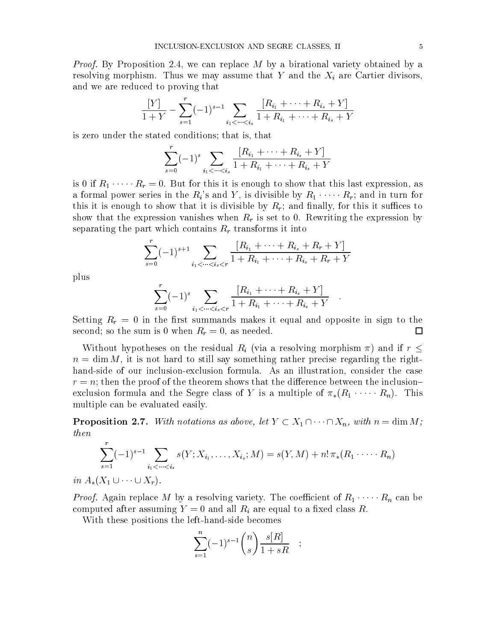Proof. By Proposition 2.4, we can replace M by a birational variety obtained by a resolving morphism. Thus we may assume that Y and the  $X_i$  are Cartier divisors, and we are reduced to proving that

$$
\frac{[Y]}{1+Y} - \sum_{s=1}^{r} (-1)^{s-1} \sum_{i_1 < \dots < i_s} \frac{[R_{i_1} + \dots + R_{i_s} + Y]}{1 + R_{i_1} + \dots + R_{i_s} + Y}
$$

is zero under the stated conditions; that is, that

$$
\sum_{s=0}^{r}(-1)^{s}\sum_{i_{1} < \cdots < i_{s}}\frac{[R_{i_{1}} + \cdots + R_{i_{s}} + Y]}{1 + R_{i_{1}} + \cdots + R_{i_{s}} + Y}
$$

is 0 if  $R_1 \cdot \cdot \cdot \cdot R_r = 0$ . But for this it is enough to show that this last expression, as a formal power series in the  $R_i$ 's and Y, is divisible by  $R_1 \cdot \cdots \cdot R_r$ ; and in turn for this it is enough to show that it is divisible by  $R_r$ ; and finally, for this it suffices to show that the expression vanishes when  $R_r$  is set to 0. Rewriting the expression by separating the part which contains  $R_r$  transforms it into

$$
\sum_{s=0}^{r}(-1)^{s+1}\sum_{i_1<\cdots
$$

plus

$$
\sum_{i=0}^{r}(-1)^{s}\sum_{i_{1}<\cdots
$$

Setting  $R_r = 0$  in the first summands makes it equal and opposite in sign to the second; so the sum is 0 when  $R_r = 0$ , as needed.  $\Box$ 

Without hypotheses on the residual  $R_i$  (via a resolving morphism  $\pi$ ) and if  $r <$  $n = \dim M$ , it is not hard to still say something rather precise regarding the righthand-side of our inclusion-exclusion formula. As an illustration, consider the case  $r = n$ ; then the proof of the theorem shows that the difference between the inclusionexclusion formula and the Segre class of Y is a multiple of  $\pi_*(R_1 \cdot \cdots \cdot R_n)$ . This multiple can be evaluated easily.

**Proposition 2.7.** With notations as above, let  $Y \subset X_1 \cap \cdots \cap X_n$ , with  $n = \dim M$ ; then

$$
\sum_{s=1}^r (-1)^{s-1} \sum_{i_1 < \dots < i_s} s(Y; X_{i_1}, \dots, X_{i_s}; M) = s(Y, M) + n! \, \pi_*(R_1 \cdot \dots \cdot R_n)
$$

 $\sum_{i=1}^{n}$   $\sum_{i=1}^{n}$   $\sum_{i=1}^{n}$ 

 $P_{\rm F}$  replace  $P_{\rm F}$  by a resolving variety. The coefficient of  $P_{\rm F}$  and  $P_{\rm F}$  can be computed after assuming  $Y = 0$  and all  $R_i$  are equal to a fixed class R.

With these positions the left-hand-side becomes

$$
\sum_{s=1}^{n} (-1)^{s-1} \binom{n}{s} \frac{s[R]}{1+sR} \quad ;
$$

;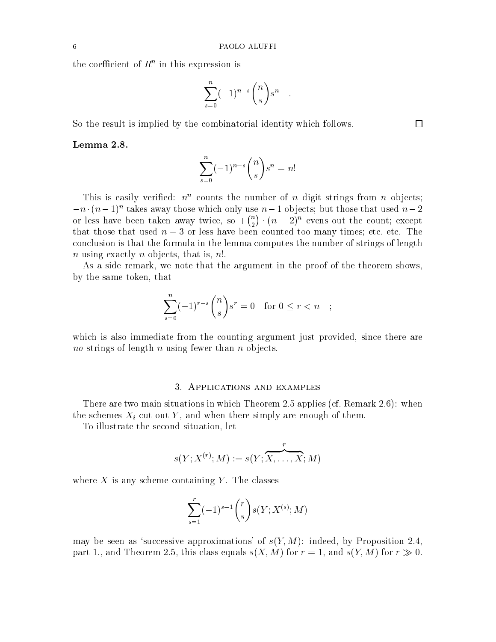the coefficient of  $R^+$  in this expression is

$$
\sum_{s=0}^n (-1)^{n-s} \binom{n}{s} s^n \quad .
$$

So the result is implied by the combinatorial identity which follows.

## Lemma 2.8.

$$
\sum_{s=0}^{n} (-1)^{n-s} \binom{n}{s} s^n = n!
$$

This is easily vertified:  $n^{\alpha}$  counts the number of  $n$ -digit strings from n objects;  $-n \cdot (n-1)$  takes away those which only use  $n-1$  objects; but those that used  $n-2$ or less have been taken away twice, so +  $\binom{n}{2} \cdot (n-2)^n$  evens out the count; except that those that used  $n-3$  or less have been counted too many times; etc. etc. The conclusion is that the formula in the lemma computes the number of strings of length n using exactly n objects, that is,  $n!$ .

As a side remark, we note that the argument in the proof of the theorem shows, by the same token, that

$$
\sum_{s=0}^{n} (-1)^{r-s} \binom{n}{s} s^r = 0 \quad \text{for } 0 \le r < n \quad ;
$$

which is also immediate from the counting argument just provided, since there are no strings of length n using fewer than  $\alpha$  is a second than  $\alpha$ 

### 3. Applications and examples

There are two main situations in which Theorem 2.5 applies (cf. Remark 2.6): when the schemes  $X_i$  cut out Y, and when there simply are enough of them.

To illustrate the second situation, let

$$
s(Y;X^{(r)};M):=s(Y;\overbrace{X,\ldots,X}^{r};M)
$$

where  $X$  is any scheme containing Y. The classes

$$
\sum_{s=1}^r (-1)^{s-1} \binom{r}{s} s(Y; X^{(s)}; M)
$$

may be seen as 'successive approximations' of  $s(Y, M)$ : indeed, by Proposition 2.4, part 1., and Theorem 2.5, this class equals  $s(X, M)$  for  $r = 1$ , and  $s(Y, M)$  for  $r \gg 0$ .

 $\Box$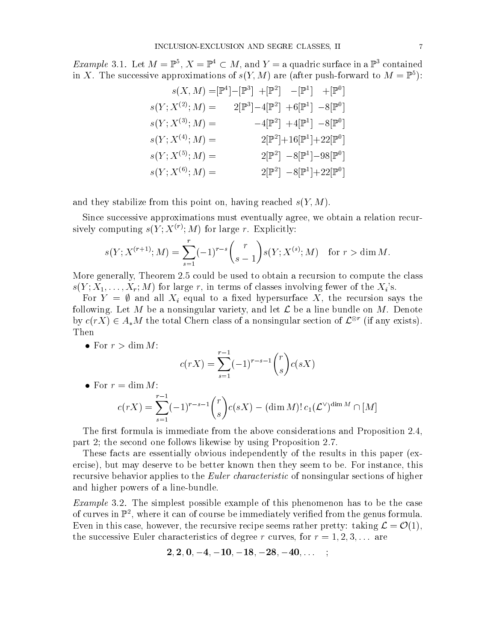*Example* 3.1. Let  $M = \mathbb{F}^+, \Lambda = \mathbb{F}^+ \subset M$ , and  $Y = \mathbb{A}$  quadric surface in a  $\mathbb{F}^+$  contained in X. The successive approximations of  $s(Y, M)$  are (after push-forward to  $M = \mathbb{P}^5$ ):

$$
s(X, M) = [\mathbb{P}^{4}] - [\mathbb{P}^{3}] + [\mathbb{P}^{2}] - [\mathbb{P}^{1}] + [\mathbb{P}^{0}]
$$
  
\n
$$
s(Y; X^{(2)}; M) = 2[\mathbb{P}^{3}] - 4[\mathbb{P}^{2}] + 6[\mathbb{P}^{1}] - 8[\mathbb{P}^{0}]
$$
  
\n
$$
s(Y; X^{(3)}; M) = -4[\mathbb{P}^{2}] + 4[\mathbb{P}^{1}] - 8[\mathbb{P}^{0}]
$$
  
\n
$$
s(Y; X^{(4)}; M) = 2[\mathbb{P}^{2}] + 16[\mathbb{P}^{1}] + 22[\mathbb{P}^{0}]
$$
  
\n
$$
s(Y; X^{(5)}; M) = 2[\mathbb{P}^{2}] - 8[\mathbb{P}^{1}] - 98[\mathbb{P}^{0}]
$$
  
\n
$$
s(Y; X^{(6)}; M) = 2[\mathbb{P}^{2}] - 8[\mathbb{P}^{1}] + 22[\mathbb{P}^{0}]
$$

and they stabilize from this point on, having reached  $s(Y, M)$ .

Since successive approximations must eventually agree, we obtain a relation recursively computing  $s(Y; M)$  for large r. Explicitly:

$$
s(Y; X^{(r+1)}; M) = \sum_{s=1}^{r} (-1)^{r-s} {r \choose s-1} s(Y; X^{(s)}; M) \text{ for } r > \dim M.
$$

More generally, Theorem 2.5 could be used to obtain a recursion to compute the class  $s(Y;X_1,\ldots,X_r;M)$  for large r, in terms of classes involving fewer of the  $X_i$ 's.

For  $Y = \emptyset$  and all  $X_i$  equal to a fixed hypersurface X, the recursion says the following. Let M be a nonsingular variety, and let  $\mathcal L$  be a line bundle on M. Denote by  $c(T\Lambda) \in A_*M$  the total Chern class of a nonsingular section of  $L^{\circledcirc}$  (if any exists). Then

• For  $r > \dim M$ :

$$
c(rX) = \sum_{s=1}^{r-1} (-1)^{r-s-1} \binom{r}{s} c(sX)
$$

• For  $r = \dim M$ :

$$
c(rX) = \sum_{s=1}^{r-1} (-1)^{r-s-1} {r \choose s} c(sX) - (\dim M)! c_1 (\mathcal{L}^{\vee})^{\dim M} \cap [M]
$$

The first formula is immediate from the above considerations and Proposition  $2.4$ , part 2; the second one follows likewise by using Proposition 2.7.

These facts are essentially obvious independently of the results in this paper (exercise), but may deserve to be better known then they seem to be. For instance, this recursive behavior applies to the *Euler characteristic* of nonsingular sections of higher and higher powers of a line-bundle.

Example 3.2. The simplest possible example of this phenomenon has to be the case of curves in F , where it can of course be immediately verified from the genus formula. Even in this case, however, the recursive recipe seems rather pretty: taking  $\mathcal{L} = \mathcal{O}(1)$ , the successive Euler characteristics of degree r curves, for  $r = 1, 2, 3, \ldots$  are

$$
2,2,0,-4,-10,-18,-28,-40,\ldots\quad;\quad
$$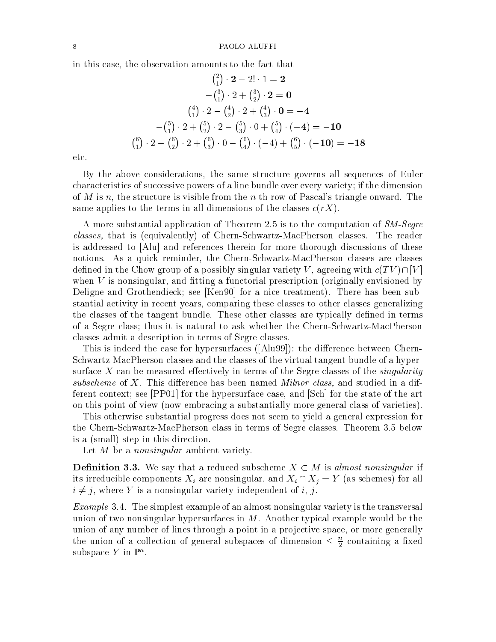in this case, the observation amounts to the fact that

$$
\binom{2}{1} \cdot 2 - 2! \cdot 1 = 2
$$
  
\n
$$
-\binom{3}{1} \cdot 2 + \binom{3}{2} \cdot 2 = 0
$$
  
\n
$$
\binom{4}{1} \cdot 2 - \binom{4}{2} \cdot 2 + \binom{4}{3} \cdot 0 = -4
$$
  
\n
$$
-\binom{5}{1} \cdot 2 + \binom{5}{2} \cdot 2 - \binom{5}{3} \cdot 0 + \binom{5}{4} \cdot (-4) = -10
$$
  
\n
$$
\binom{6}{1} \cdot 2 - \binom{6}{2} \cdot 2 + \binom{6}{3} \cdot 0 - \binom{6}{4} \cdot (-4) + \binom{6}{5} \cdot (-10) = -18
$$

etc.

By the above considerations, the same structure governs all sequences of Euler characteristics of successive powers of a line bundle over every variety; if the dimension of M is n, the structure is visible from the n-th row of Pascal's triangle onward. The same applies to the terms in all dimensions of the classes  $c(rX)$ .

A more substantial application of Theorem 2.5 is to the computation of  $SM\text{-}Segre$ classes, that is (equivalently) of Chern-Schwartz-MacPherson classes. The reader is addressed to [Alu] and references therein for more thorough discussions of these notions. As a quick reminder, the Chern-Schwartz-MacPherson classes are classes defined in the Chow group of a possibly singular variety V, agreeing with  $c(TV) \cap [V]$ when  $V$  is nonsingular, and fitting a functorial prescription (originally envisioned by Deligne and Grothendieck; see [Ken90] for a nice treatment). There has been substantial activity in recent years, comparing these classes to other classes generalizing the classes of the tangent bundle. These other classes are typically defined in terms of a Segre class; thus it is natural to ask whether the Chern-Schwartz-MacPherson classes admit a description in terms of Segre classes.

This is indeed the case for hypersurfaces  $( [A]u99]$ : the difference between Chern-Schwartz-MacPherson classes and the classes of the virtual tangent bundle of a hypersurface X can be measured effectively in terms of the Segre classes of the *singularity* subscheme of X. This diepersubscheme of the Milnor class, and studied in a difference in a difference in a dif ferent context; see [PP01] for the hypersurface case, and [Sch] for the state of the art on this point of view (now embracing a substantially more general class of varieties).

This otherwise substantial progress does not seem to yield a general expression for the Chern-Schwartz-MacPherson class in terms of Segre classes. Theorem 3.5 below is a (small) step in this direction.

Let M be a *nonsingular* ambient variety.

**Definition 3.3.** We say that a reduced subscheme  $X \subset M$  is almost nonsingular if its irreducible components  $X_i$  are nonsingular, and  $X_i \cap X_j = Y$  (as schemes) for all  $i \neq j$ , where Y is a nonsingular variety independent of i, j.

Example 3.4. The simplest example of an almost nonsingular variety is the transversal union of two nonsingular hypersurfaces in  $M$ . Another typical example would be the union of any number of lines through a point in a projective space, or more generally the union of a collection of general subspaces of dimension  $\leq \frac{1}{2}$  containing a fixed subspace  $Y$  in  $\mathbb{F}^n$ .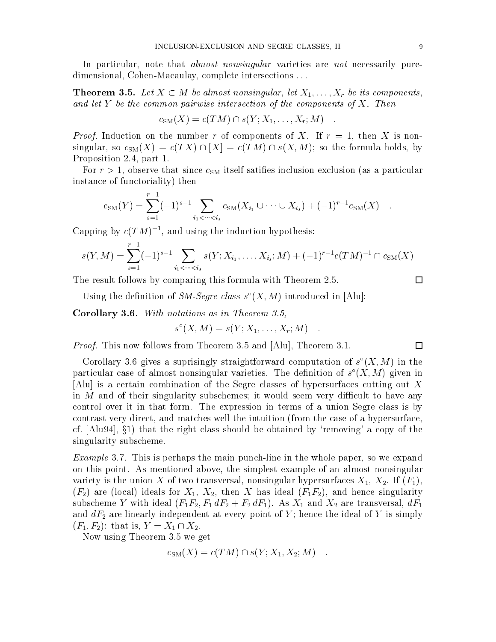In particular, note that *almost nonsingular* varieties are *not* necessarily puredimensional, Cohen-Macaulay, complete intersections ...

**Theorem 3.5.** Let  $X \subset M$  be almost nonsingular, let  $X_1, \ldots, X_r$  be its components, and the the the common pair with components of the components of T. Then the components of  $\mathcal{L}_1$ 

$$
c_{\text{SM}}(X) = c(TM) \cap s(Y; X_1, \dots, X_r; M) \quad .
$$

Proof. Induction on the number r of components of X. If r = 1, then X is nonsingular, so  $c_{SM}(X) = c(TX) \cap [X] = c(TM) \cap s(X,M)$ ; so the formula holds, by Proposition 2.4, part 1.

For  $r > 1$ , observe that since  $c_{SM}$  itself satifies inclusion-exclusion (as a particular instance of functoriality) then

$$
c_{\text{SM}}(Y) = \sum_{s=1}^{r-1} (-1)^{s-1} \sum_{i_1 < \dots < i_s} c_{\text{SM}}(X_{i_1} \cup \dots \cup X_{i_s}) + (-1)^{r-1} c_{\text{SM}}(X) .
$$

Capping by  $c(T|M)$  =, and using the induction hypothesis:

$$
s(Y, M) = \sum_{s=1}^{r-1} (-1)^{s-1} \sum_{i_1 < \dots < i_s} s(Y; X_{i_1}, \dots, X_{i_s}; M) + (-1)^{r-1} c(TM)^{-1} \cap c_{\text{SM}}(X)
$$

The result follows by comparing this formula with Theorem 2.5.

Using the definition of  $\mathcal{S}_{M}$ -Segre class s  $(X, M)$  introduced in  $[\text{Aut}];$ 

Corollary 3.6. With notations as in Theorem 3.5,

$$
s^{\circ}(X, M) = s(Y; X_1, \ldots, X_r; M) \quad .
$$

Proof. This now follows from Theorem 3.5 and [Alu], Theorem 3.1.

Corollary 5.6 gives a suprisingly straightforward computation of  $s$  ( $\Lambda, M$ ) in the particular case of almost nonsingular varieties. The definition of  $s$  ( $\Lambda, M$ ) given in [Alu] is a certain combination of the Segre classes of hypersurfaces cutting out X in  $M$  and of their singularity subschemes; it would seem very difficult to have any control over it in that form. The expression in terms of a union Segre class is by contrast very direct, and matches well the intuition (from the case of a hypersurface, cf.  $[A\cup 94]$ ,  $\S 1$  that the right class should be obtained by 'removing' a copy of the singularity subscheme.

Example 3.7. This is perhaps the main punch-line in the whole paper, so we expand on this point. As mentioned above, the simplest example of an almost nonsingular variety is the union X of two transversal, nonsingular hypersurfaces  $X_1, X_2$ . If  $(F_1)$ ,  $(F_2)$  are (local) ideals for  $X_1, X_2$ , then X has ideal  $(F_1F_2)$ , and hence singularity subscheme Y with ideal  $(F_1F_2, F_1 dF_2 + F_2 dF_1)$ . As  $X_1$  and  $X_2$  are transversal,  $dF_1$ and  $dF_2$  are linearly independent at every point of Y; hence the ideal of Y is simply  $(F_1, F_2)$ : that is,  $Y = X_1 \cap X_2$ .

Now using Theorem 3.5 we get

$$
c_{\text{SM}}(X) = c(TM) \cap s(Y; X_1, X_2; M) \quad .
$$

 $\Box$ 

 $\Box$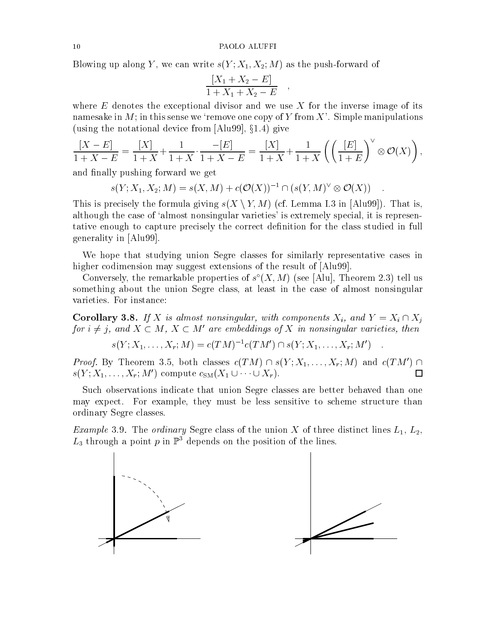Blowing up along Y, we can write  $s(Y; X_1, X_2; M)$  as the push-forward of

$$
\frac{[X_1 + X_2 - E]}{1 + X_1 + X_2 - E} ,
$$

where  $E$  denotes the exceptional divisor and we use  $X$  for the inverse image of its namesake in  $M$ ; in this sense we 'remove one copy of Y from X'. Simple manipulations (using the notational device from  $[Alu99], \S1.4$ ) give

$$
\frac{[X - E]}{1 + X - E} = \frac{[X]}{1 + X} + \frac{1}{1 + X} \cdot \frac{-[E]}{1 + X - E} = \frac{[X]}{1 + X} + \frac{1}{1 + X} \left( \left( \frac{[E]}{1 + E} \right)^{\vee} \otimes \mathcal{O}(X) \right),
$$

and finally pushing forward we get

 $s(Y; \Lambda_1, \Lambda_2; M) = s(\Lambda, M) + c(O(\Lambda))$  if  $(s(Y, M) \otimes O(\Lambda))$ .

This is precisely the formula giving  $s(X \setminus Y, M)$  (cf. Lemma I.3 in [Alu99]). That is, although the case of 'almost nonsingular varieties' is extremely special, it is representative enough to capture precisely the correct definition for the class studied in full generality in [Alu99].

We hope that studying union Segre classes for similarly representative cases in higher codimension may suggest extensions of the result of  $[A\text{lu}99]$ .

Conversely, the remarkable properties of  $s$  ( $\Lambda, M$ ) (see [Alu], Theorem 2.5) tell us something about the union Segre class, at least in the case of almost nonsingular varieties. For instance:

**Corollary 3.8.** If X is almost nonsingular, with components  $X_i$ , and  $Y = X_i \cap X_j$ for  $i \neq j$ , and  $\Lambda \subset M$ ,  $\Lambda \subset M$  are embeddings of  $\Lambda$  in nonsingular varieties, then

 $s(Y; X_1, \ldots, X_r; M) = c(TM)^{-1}c(TM') \cap s(Y; X_1, \ldots, X_r; M')$ 

Proof. By Theorem 3.3, both classes  $c(TM) \cap s(T;X_1,\ldots,X_r;M)$  and  $c(TM) \cap$  $s(Y;X_1,\ldots,X_r;M')$  compute  $c_{\text{SM}}(X_1 \cup \cdots \cup X_r).$  $\Box$ 

Such observations indicate that union Segre classes are better behaved than one may expect. For example, they must be less sensitive to scheme structure than ordinary Segre classes.

Example 3.9. The ordinary Segre class of the union X of three distinct lines L1, L2,  $L_3$  through a point p in  $\mathbb{P}^3$  depends on the position of the lines.

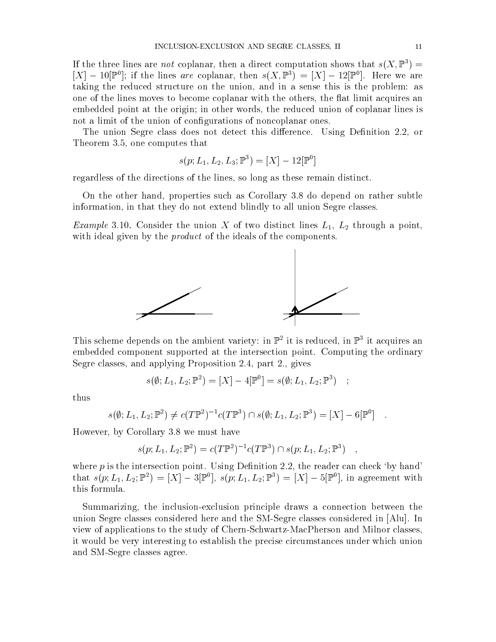If the three lines are *not* coplanar, then a direct computation shows that  $s(X, \mathbb{P}^3) =$  $|\Lambda| = 10|$ F]; if the lines are coplanar, then  $s(\Lambda, \mathbb{F}) = |\Lambda| = 12|\mathbb{F}|$ . Here we are taking the reduced structure on the union, and in a sense this is the problem: as one of the lines moves to become coplanar with the others, the flat limit acquires an embedded point at the origin; in other words, the reduced union of coplanar lines is not a limit of the union of configurations of noncoplanar ones.

The union Segre class does not detect this difference. Using Definition 2.2, or Theorem 3.5, one computes that

$$
s(p; L_1, L_2, L_3; \mathbb{P}^3) = [X] - 12[\mathbb{P}^0]
$$

regardless of the directions of the lines, so long as these remain distinct.

On the other hand, properties such as Corollary 3.8 do depend on rather subtle information, in that they do not extend blindly to all union Segre classes.

Example 3.10. Consider the union <sup>X</sup> of two distinct lines L1, L2 through <sup>a</sup> point, with ideal given by the product of the ideals of the components.



I mis scheme depends on the ambient variety: in P<sup>2</sup> it is reduced, in P<sup>2</sup> it acquires an embedded component supported at the intersection point. Computing the ordinary Segre classes, and applying Proposition 2.4, part 2., gives

$$
s(\emptyset; L_1, L_2; \mathbb{P}^2) = [X] - 4[\mathbb{P}^0] = s(\emptyset; L_1, L_2; \mathbb{P}^3) ;
$$

thus

$$
s(\emptyset; L_1, L_2; \mathbb{P}^2) \neq c(T\mathbb{P}^2)^{-1}c(T\mathbb{P}^3) \cap s(\emptyset; L_1, L_2; \mathbb{P}^3) = [X] - 6[\mathbb{P}^0] .
$$

However, by Corollary 3.8 we must have

$$
s(p; L_1, L_2; \mathbb{P}^2) = c(T\mathbb{P}^2)^{-1} c(T\mathbb{P}^3) \cap s(p; L_1, L_2; \mathbb{P}^3) ,
$$

where  $p$  is the intersection point. Using Definition 2.2, the reader can check 'by hand' that  $s(p; L_1, L_2; \mathbb{F}) = |X| - \mathfrak{I}(\mathbb{F}^*), s(p; L_1, L_2; \mathbb{F}^*) = |X| - \mathfrak{I}(\mathbb{F}^*),$  in agreement with this formula.

Summarizing, the inclusion-exclusion principle draws a connection between the union Segre classes considered here and the SM-Segre classes considered in [Alu]. In view of applications to the study of Chern-Schwartz-MacPherson and Milnor classes, it would be very interesting to establish the precise circumstances under which union and SM-Segre classes agree.